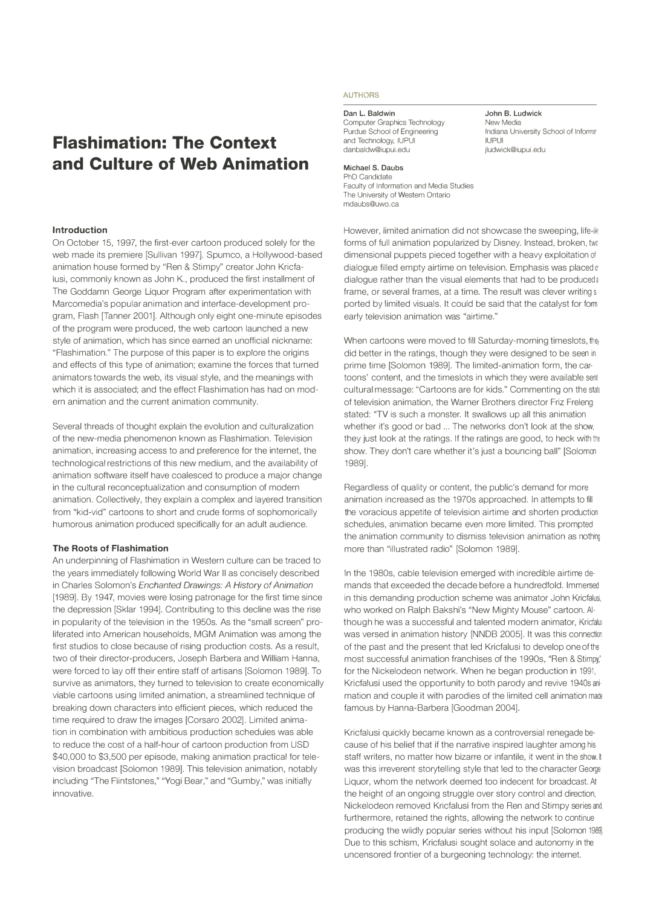# **Flashimation: The Context and Culture of Web Animation**

#### **Introduction**

On October 15, 1997, the first-ever cartoon produced solely for the web made its premiere [Sullivan 1997]. Spumco, a Hollywood-based animation house formed by "Ren & Stimpy" creator John Kricfalusi, commonly known as John K., produced the first installment of The Goddamn George Liquor Program after experimentation with Marcomedia's popular animation and interface-development program, Flash [Tanner 2001]. Although only eight one-minute episodes of the program were produced, the web cartoon launched a new style of animation, which has since earned an unofficial nickname: "Flashimation." The purpose of this paper is to explore the origins and effects of this type of animation; examine the forces that turned animators towards the web, its visual style, and the meanings with which it is associated; and the effect Flashimation has had on modern animation and the current animation community.

Several threads of thought explain the evolution and culturalization of the new-media phenomenon known as Flashimation. Television animation, increasing access to and preference for the internet, the technological restrictions of this new medium, and the availability of animation software itself have coalesced to produce a major change in the cultural reconceptualization and consumption of modern animation. Collectively, they explain a complex and layered transition from "kid-vid" cartoons to short and crude forms of sophomorically humorous animation produced specifically for an adult audience.

#### **The Roots of Flashimation**

An underpinning of Flashimation in Western culture can be traced to the years immediately following World War II as concisely described in Charles Solomon's *Enchanted Drawings: A History of Animation*  (1989]. By 1947, movies were losing patronage for the first time since the depression [Sklar 1994]. Contributing to this decline was the rise in popularity of the television in the 1950s. As the "small screen" proliferated into American households, MGM Animation was among the first studios to close because of rising production costs. As a result, two of their director-producers, Joseph Barbera and William Hanna, were forced to lay off their entire staff of artisans [Solomon 1989]. To survive as animators, they turned to television to create economically viable cartoons using limited animation, a streamlined technique of breaking down characters into efficient pieces, which reduced the time required to draw the images [Corsaro 2002]. Limited animation in combination with ambitious production schedules was able to reduce the cost of a half-hour of cartoon production from USD \$40,000 to \$3,500 per episode, making animation practical for television broadcast [Solomon 1989]. This television animation, notably including "The Flintstones," "Yogi Bear," and "Gumby," was initially innovative.

# **AUTHORS**

**Dan L. Baldwin**  Computer Graphics Technology Purdue School of Engineering and Technology, IUPUI danbaldw@iupui.edu

#### **Michael S. Daubs**

PhD Candidate Faculty of Information and Media Studies The University of Western Ontario mdaubs@uwo.ca

However, limited animation did not showcase the sweeping, life-Ik forms of full animation popularized by Disney. Instead, broken, two dimensional puppets pieced together with a heavy exploitation of dialogue filled empty airtime on television. Emphasis was placed or dialogue rather than the visual elements that had to be produced a frame, or several frames, at a time. The result was clever writings ported by limited visuals. It could be said that the catalyst for form early television animation was "airtime."

When cartoons were moved to fill Saturday-morning timeslots, the did better in the ratings, though they were designed to be seen in prime time [Solomon 1989]. The limited-animation form, the cartoons' content, and the timeslots in which they were available sen! cultural message: "Cartoons are for kids." Commenting on the stal, of television animation, the Warner Brothers director Friz Freleng stated: "TV is such a monster. It swallows up all this animation whether it's good or bad ... The networks don't look at the show. they just look at the ratings. If the ratings are good, to heck with the show. They don't care whether it's just a bouncing ball" [Solomon 1989].

Regardless of quality or content, the public's demand for more animation increased as the 1970s approached. In attempts to fill the voracious appetite of television airtime and shorten production schedules, animation became even more limited. This prompted the animation community to dismiss television animation as nothing more than "illustrated radio" [Solomon 1989].

In the 1980s, cable television emerged with incredible airtime demands that exceeded the decade before a hundredfold. Immersed in this demanding production scheme was animator John Kricfalusi. who worked on Ralph Bakshi's "New Mighty Mouse" cartoon. Although he was a successful and talented modern animator, Kricfalus was versed in animation history [NNDB 2005]. It was this connection of the past and the present that led Kricfalusi to develop one of the most successful animation franchises of the 1990s, "Ren & Stimpy," for the Nickelodeon network. When he began production in 1991, Kricfalusi used the opportunity to both parody and revive 1940s ani· mation and couple it with parodies of the limited cell animation made famous by Hanna-Barbera [Goodman 2004].

Kricfalusi quickly became known as a controversial renegade because of his belief that if the narrative inspired laughter among his staff writers, no matter how bizarre or infantile, it went in the show. It was this irreverent storytelling style that led to the character George Liquor, whom the network deemed too indecent for broadcast. At the height of an ongoing struggle over story control and direction, Nickelodeon removed Kricfalusi from the Ren and Stimpy series and. furthermore, retained the rights, allowing the network to continue producing the wildly popular series without his input [Solomon 1989]. Due to this schism, Kricfalusi sought solace and autonomy in the uncensored frontier of a burgeoning technology: the internet.

**John B. Ludwick**  New Media Indiana University School of Informat IUPUI jludwick@iupui.edu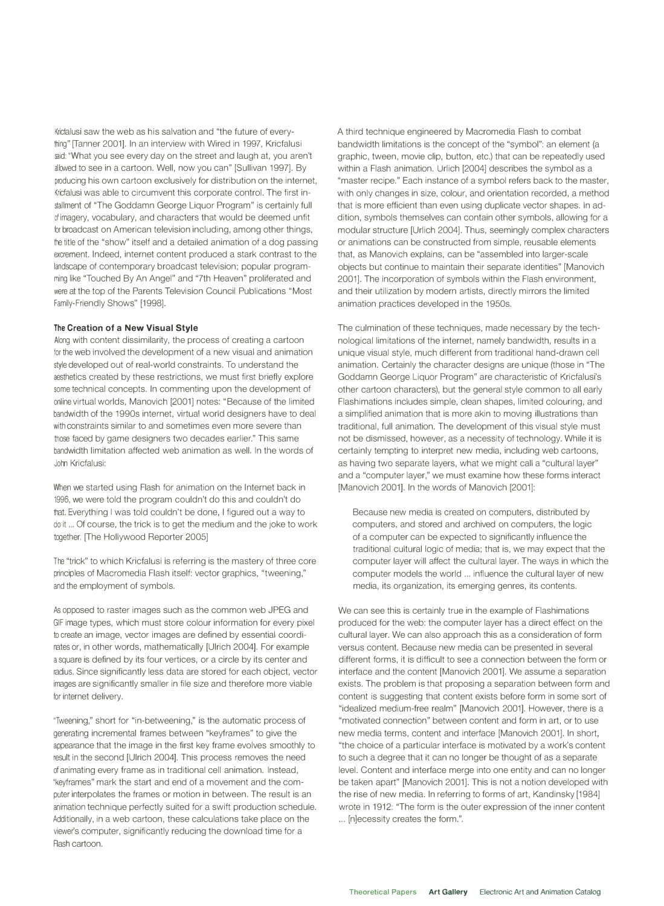Kricfalusi saw the web as his salvation and "the future of everything" [Tanner 2001]. In an interview with Wired in 1997, Kricfalusi said: "What you see every day on the street and laugh at, you aren't allowed to see in a cartoon. Well, now you can" [Sullivan 1997]. By producing his own cartoon exclusively for distribution on the internet, Kricfalusi was able to circumvent this corporate control. The first installment of "The Goddamn George Liquor Program" is certainly full of imagery, vocabulary, and characters that would be deemed unfit for broadcast on American television including, among other things, the title of the "show" itself and a detailed animation of a dog passing excrement. Indeed, internet content produced a stark contrast to the landscape of contemporary broadcast television; popular programming like "Touched By An Angel" and "7th Heaven" proliferated and were at the top of the Parents Television Council Publications "Most Family-Friendly Shows" (1998].

## **The Creation of a New Visual Style**

Along with content dissimilarity, the process of creating a cartoon for the web involved the development of a new visual and animation style developed out of real-world constraints. To understand the aesthetics created by these restrictions, we must first briefly explore some technical concepts. In commenting upon the development of online virtual worlds, Manovich (2001] notes: "Because of the limited bandwidth of the 1990s internet, virtual world designers have to deal with constraints similar to and sometimes even more severe than those faced by game designers two decades earlier." This same bandwidth limitation affected web animation as well. In the words of John Kricfalusi:

When we started using Flash for animation on the Internet back in 1996, we were told the program couldn't do this and couldn't do that. Everything I was told couldn't be done, I figured out a way to do it ... Of course, the trick is to get the medium and the joke to work together. [The Hollywood Reporter 2005]

The "trick" to which Kricfalusi is referring is the mastery of three core principles of Macromedia Flash itself: vector graphics, "tweening," and the employment of symbols.

As opposed to raster images such as the common web JPEG and GIF image types, which must store colour information for every pixel to create an image, vector images are defined by essential coordinates or, in other words, mathematically [Ulrich 2004]. For example a square is defined by its four vertices, or a circle by its center and radius. Since significantly less data are stored for each object, vector images are significantly smaller in file size and therefore more viable for internet delivery.

"Tweening," short for "in-betweening," is the automatic process of generating incremental frames between "keyframes" to give the appearance that the image in the first key frame evolves smoothly to result in the second [Ulrich 2004]. This process removes the need of animating every frame as in traditional cell animation. Instead, "keyframes" mark the start and end of a movement and the computer interpolates the frames or motion in between. The result is an animation technique perfectly suited for a swift production schedule. Additionally, in a web cartoon, these calculations take place on the viewer's computer, significantly reducing the download time for a Flash cartoon.

A third technique engineered by Macromedia Flash to combat bandwidth limitations is the concept of the "symbol": an element (a graphic, tween, movie clip, button, etc.) that can be repeatedly used within a Flash animation. Urlich (2004] describes the symbol as a "master recipe." Each instance of a symbol refers back to the master, with only changes in size, colour, and orientation recorded, a method that is more efficient than even using duplicate vector shapes. In addition, symbols themselves can contain other symbols, allowing for a modular structure [Urlich 2004]. Thus, seemingly complex characters or animations can be constructed from simple, reusable elements that, as Manovich explains, can be "assembled into larger-scale objects but continue to maintain their separate identities" [Manovich 2001]. The incorporation of symbols within the Flash environment, and their utilization by modern artists, directly mirrors the limited animation practices developed in the 1950s.

The culmination of these techniques, made necessary by the technological limitations of the internet, namely bandwidth, results in a unique visual style, much different from traditional hand-drawn cell animation. Certainly the character designs are unique (those in "The Goddamn George Liquor Program" are characteristic of Kricfalusi's other cartoon characters), but the general style common to all early Flashimations includes simple, clean shapes, limited colouring, and a simplified animation that is more akin to moving illustrations than traditional, full animation. The development of this visual style must not be dismissed, however, as a necessity of technology. While it is certainly tempting to interpret new media, including web cartoons, as having two separate layers, what we might call a "cultural layer" and a "computer layer," we must examine how these forms interact [Manovich 2001]. In the words of Manovich (2001]:

Because new media is created on computers, distributed by computers, and stored and archived on computers, the logic of a computer can be expected to significantly influence the traditional cultural logic of media; that is, we may expect that the computer layer will affect the cultural layer. The ways in which the computer models the world ... influence the cultural layer of new media, its organization, its emerging genres, its contents.

We can see this is certainly true in the example of Flashimations produced for the web: the computer layer has a direct effect on the cultural layer. We can also approach this as a consideration of form versus content. Because new media can be presented in several different forms, it is difficult to see a connection between the form or interface and the content [Manovich 2001]. We assume a separation exists. The problem is that proposing a separation between form and content is suggesting that content exists before form in some sort of "idealized medium-free realm" [Manovich 2001]. However, there is a "motivated connection" between content and form in art, or to use new media terms, content and interface [Manovich 2001]. In short, "the choice of a particular interface is motivated by a work's content to such a degree that it can no longer be thought of as a separate level. Content and interface merge into one entity and can no longer be taken apart" [Manovich 2001]. This is not a notion developed with the rise of new media. In referring to forms of art, Kandinsky (1984] wrote in 1912: "The form is the outer expression of the inner content ... [n]ecessity creates the form.".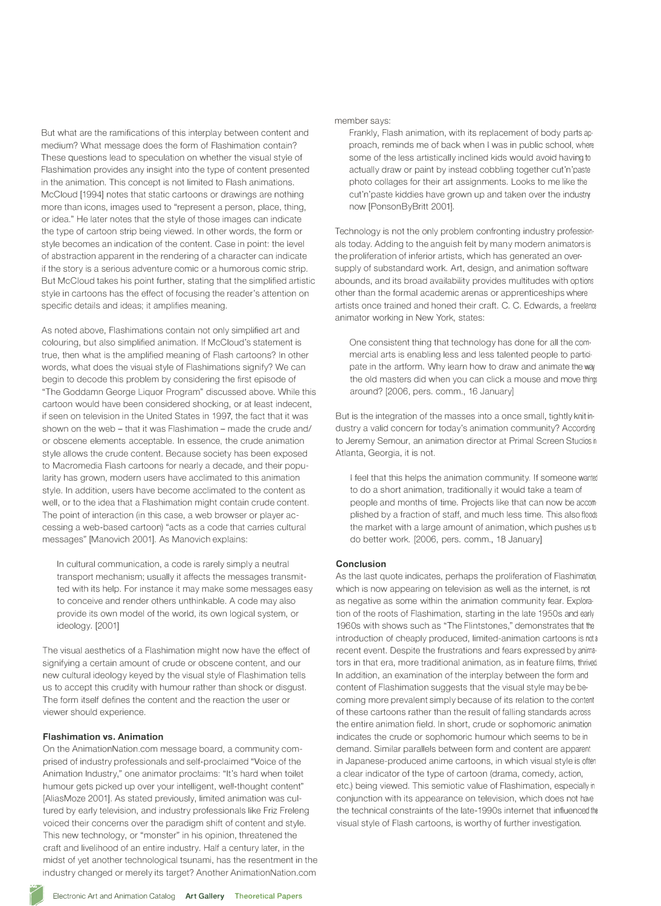But what are the ramifications of this interplay between content and medium? What message does the form of Flashimation contain? These questions lead to speculation on whether the visual style of Flashimation provides any insight into the type of content presented in the animation. This concept is not limited to Flash animations. McCloud [1994] notes that static cartoons or drawings are nothing more than icons, images used to "represent a person, place, thing, or idea." He later notes that the style of those images can indicate the type of cartoon strip being viewed. In other words, the form or style becomes an indication of the content. Case in point: the level of abstraction apparent in the rendering of a character can indicate if the story is a serious adventure comic or a humorous comic strip. But McCloud takes his point further, stating that the simplified artistic style in cartoons has the effect of focusing the reader's attention on specific details and ideas; it amplifies meaning.

As noted above, Flashimations contain not only simplified art and colouring, but also simplified animation. If McCloud's statement is true, then what is the amplified meaning of Flash cartoons? In other words, what does the visual style of Flashimations signify? We can begin to decode this problem by considering the first episode of "The Goddamn George Liquor Program" discussed above. While this cartoon would have been considered shocking, or at least indecent, if seen on television in the United States in 1997, the fact that it was shown on the web - that it was Flashimation - made the crude and/ or obscene elements acceptable. In essence, the crude animation style allows the crude content. Because society has been exposed to Macromedia Flash cartoons for nearly a decade, and their popularity has grown, modern users have acclimated to this animation style. In addition, users have become acclimated to the content as well, or to the idea that a Flashimation might contain crude content. The point of interaction (in this case, a web browser or player accessing a web-based cartoon) "acts as a code that carries cultural messages" [Manovich 2001]. As Manovich explains:

In cultural communication, a code is rarely simply a neutral transport mechanism; usually it affects the messages transmitted with its help. For instance it may make some messages easy to conceive and render others unthinkable. A code may also provide its own model of the world, its own logical system, or ideology. [2001]

The visual aesthetics of a Flashimation might now have the effect of signifying a certain amount of crude or obscene content, and our new cultural ideology keyed by the visual style of Flashimation tells us to accept this crudity with humour rather than shock or disgust. The form itself defines the content and the reaction the user or viewer should experience.

#### **Flashimation vs. Animation**

On the AnimationNation.com message board, a community comprised of industry professionals and self-proclaimed "Voice of the Animation Industry," one animator proclaims: "It's hard when toilet humour gets picked up over your intelligent, well-thought content" [AliasMoze 2001]. As stated previously, limited animation was cultured by early television, and industry professionals like Friz Freleng voiced their concerns over the paradigm shift of content and style. This new technology, or "monster" in his opinion, threatened the craft and livelihood of an entire industry. Half a century later, in the midst of yet another technological tsunami, has the resentment in the industry changed or merely its target? Another AnimationNation.com

member says:

Frankly, Flash animation, with its replacement of body parts approach, reminds me of back when I was in public school, where some of the less artistically inclined kids would avoid having to actually draw or paint by instead cobbling together cut'n'paste photo collages for their art assignments. Looks to me like the cut'n'paste kiddies have grown up and taken over the industry now [PonsonByBritt 2001].

Technology is not the only problem confronting industry profession· als today. Adding to the anguish felt by many modern animators is the proliferation of inferior artists, which has generated an oversupply of substandard work. Art, design, and animation software abounds, and its broad availability provides multitudes with options other than the formal academic arenas or apprenticeships where artists once trained and honed their craft. C. C. Edwards, a freelance animator working in New York, states:

One consistent thing that technology has done for all the commercial arts is enabling less and less talented people to participate in the artform. Why learn how to draw and animate the way the old masters did when you can click a mouse and move thing, around? [2006, pers. comm., 16 January]

But is the integration of the masses into a once small, tightly knit industry a valid concern for today's animation community? According to Jeremy Semour, an animation director at Primal Screen Studios in Atlanta, Georgia, it is not.

I feel that this helps the animation community. If someone wanted to do a short animation, traditionally it would take a team of people and months of time. Projects like that can now be accom· plished by a fraction of staff, and much less time. This also floods the market with a large amount of animation, which pushes us to do better work. [2006, pers. comm., 18 January]

### **Conclusion**

As the last quote indicates, perhaps the proliferation of Flashimation, which is now appearing on television as well as the internet, is not as negative as some within the animation community fear. Exploration of the roots of Flashimation, starting in the late 1950s and early 1960s with shows such as "The Flintstones," demonstrates that the introduction of cheaply produced, limited-animation cartoons is not a recent event. Despite the frustrations and fears expressed by animators in that era, more traditional animation, as in feature films, thrived. In addition, an examination of the interplay between the form and content of Flashimation suggests that the visual style may be becoming more prevalent simply because of its relation to the content of these cartoons rather than the result of falling standards across the entire animation field. In short, crude or sophomoric animation indicates the crude or sophomoric humour which seems to be in demand. Similar parallels between form and content are apparent in Japanese-produced anime cartoons, in which visual style is often a clear indicator of the type of cartoon (drama, comedy, action, etc.) being viewed. This semiotic value of Flashimation, especially in conjunction with its appearance on television, which does not have the technical constraints of the late-1990s internet that influenced the visual style of Flash cartoons, is worthy of further investigation.